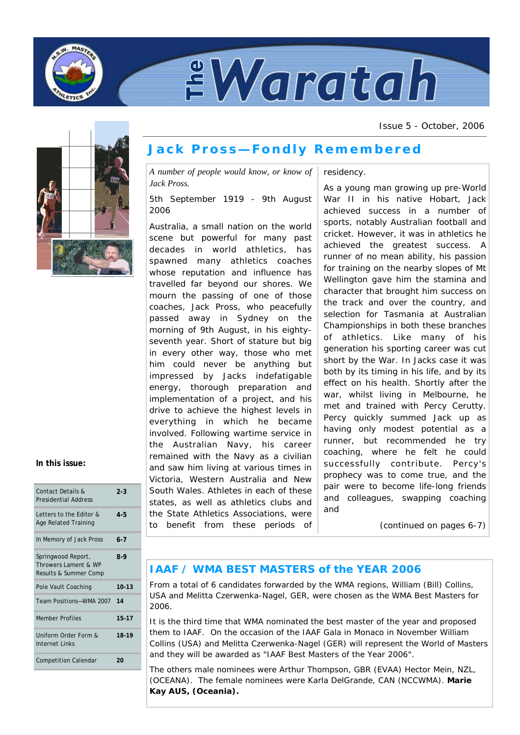



Issue 5 - October, 2006



# **Jack Pross—Fondly Remembered**

*A number of people would know, or know of Jack Pross.* 

5th September 1919 - 9th August 2006

Australia, a small nation on the world scene but powerful for many past decades in world athletics, has spawned many athletics coaches whose reputation and influence has travelled far beyond our shores. We mourn the passing of one of those coaches, Jack Pross, who peacefully passed away in Sydney on the morning of 9th August, in his eightyseventh year. Short of stature but big in every other way, those who met him could never be anything but impressed by Jacks indefatigable energy, thorough preparation and implementation of a project, and his drive to achieve the highest levels in everything in which he became involved. Following wartime service in the Australian Navy, his career remained with the Navy as a civilian and saw him living at various times in Victoria, Western Australia and New South Wales. Athletes in each of these states, as well as athletics clubs and the State Athletics Associations, were to benefit from these periods of

residency.

As a young man growing up pre-World War II in his native Hobart, Jack achieved success in a number of sports, notably Australian football and cricket. However, it was in athletics he achieved the greatest success. A runner of no mean ability, his passion for training on the nearby slopes of Mt Wellington gave him the stamina and character that brought him success on the track and over the country, and selection for Tasmania at Australian Championships in both these branches of athletics. Like many of his generation his sporting career was cut short by the War. In Jacks case it was both by its timing in his life, and by its effect on his health. Shortly after the war, whilst living in Melbourne, he met and trained with Percy Cerutty. Percy quickly summed Jack up as having only modest potential as a runner, but recommended he try coaching, where he felt he could successfully contribute. Percy's prophecy was to come true, and the pair were to become life-long friends and colleagues, swapping coaching and

*(continued on pages 6-7)* 

# **IAAF / WMA BEST MASTERS of the YEAR 2006**

From a total of 6 candidates forwarded by the WMA regions, William (Bill) Collins, USA and Melitta Czerwenka-Nagel, GER, were chosen as the WMA Best Masters for 2006.

It is the third time that WMA nominated the best master of the year and proposed them to IAAF. On the occasion of the IAAF Gala in Monaco in November William Collins (USA) and Melitta Czerwenka-Nagel (GER) will represent the World of Masters and they will be awarded as "IAAF Best Masters of the Year 2006".

The others male nominees were Arthur Thompson, GBR (EVAA) Hector Mein, NZL, (OCEANA). The female nominees were Karla DelGrande, CAN (NCCWMA). **Marie Kay AUS, (Oceania).**

### **In this issue:**

| Contact Details &<br><b>Presidential Address</b>                    | $2 - 3$   |
|---------------------------------------------------------------------|-----------|
| Letters to the Editor &<br><b>Age Related Training</b>              | $4 - 5$   |
| In Memory of Jack Pross                                             | $6 - 7$   |
| Springwood Report,<br>Throwers Lament & WP<br>Results & Summer Comp | $8-9$     |
| Pole Vault Coaching                                                 | $10 - 13$ |
| Team Positions-WMA 2007                                             | 14        |
| <b>Member Profiles</b>                                              | $15 - 17$ |
| Uniform Order Form &<br>Internet Links                              | 18-19     |
| <b>Competition Calendar</b>                                         | 20        |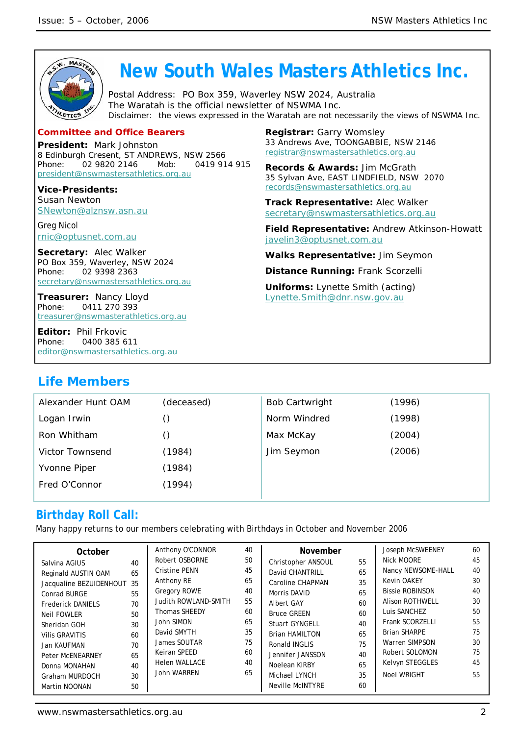

**President:** Mark Johnston 8 Edinburgh Cresent, ST ANDREWS, NSW 2566 Phone: 02 9820 2146 Mob: 0419 914 915 president@nswmastersathletics.org.au

**Vice-Presidents:**  Susan Newton SNewton@alznsw.asn.au

Greg Nicol rnic@optusnet.com.au

**Secretary:** Alec Walker PO Box 359, Waverley, NSW 2024 Phone: 02 9398 2363 secretary@nswmastersathletics.org.au

**Treasurer:** Nancy Lloyd Phone: 0411 270 393 treasurer@nswmasterathletics.org.au

**Editor:** Phil Frkovic Phone: 0400 385 611 editor@nswmastersathletics.org.au **Registrar:** Garry Womsley 33 Andrews Ave, TOONGABBIE, NSW 2146 registrar@nswmastersathletics.org.au

**Records & Awards:** Jim McGrath 35 Sylvan Ave, EAST LINDFIELD, NSW 2070 records@nswmastersathletics.org.au

**Track Representative:** Alec Walker secretary@nswmastersathletics.org.au

**Field Representative:** Andrew Atkinson-Howatt javelin3@optusnet.com.au

**Walks Representative:** Jim Seymon

**Distance Running:** Frank Scorzelli

**Uniforms:** Lynette Smith (acting) Lynette.Smith@dnr.nsw.gov.au

# **Life Members**

| Alexander Hunt OAM     | (deceased) | <b>Bob Cartwright</b> | (1996) |
|------------------------|------------|-----------------------|--------|
| Logan Irwin            |            | Norm Windred          | (1998) |
| Ron Whitham            |            | Max McKay             | (2004) |
| <b>Victor Townsend</b> | (1984)     | Jim Seymon            | (2006) |
| Yvonne Piper           | (1984)     |                       |        |
| Fred O'Connor          | (1994)     |                       |        |
|                        |            |                       |        |

# **Birthday Roll Call:**

Many happy returns to our members celebrating with Birthdays in October and November 2006

| October<br>Salvina AGIUS<br>Reginald AUSTIN OAM<br>Jacqualine BEZUIDENHOUT 35<br>Conrad BURGE<br><b>Frederick DANIELS</b> | 40<br>65<br>55<br>70             | Anthony O'CONNOR<br>Robert OSBORNE<br><b>Cristine PENN</b><br>Anthony RE<br><b>Gregory ROWE</b><br>Judith ROWLAND-SMITH  | 40<br>50<br>45<br>65<br>40<br>55       | November<br>Christopher ANSOUL<br>David CHANTRILL<br>Caroline CHAPMAN<br>Morris DAVID<br><b>Albert GAY</b>                 | 55<br>65<br>35<br>65<br>60       | Joseph McSWEENEY<br>Nick MOORE<br>Nancy NEWSOME-HALL<br><b>Kevin OAKEY</b><br><b>Bissie ROBINSON</b><br><b>Alison ROTHWELL</b>             | 60<br>45<br>40<br>30<br>40<br>30 |
|---------------------------------------------------------------------------------------------------------------------------|----------------------------------|--------------------------------------------------------------------------------------------------------------------------|----------------------------------------|----------------------------------------------------------------------------------------------------------------------------|----------------------------------|--------------------------------------------------------------------------------------------------------------------------------------------|----------------------------------|
| Neil FOWLER<br>Sheridan GOH<br><b>Vilis GRAVITIS</b><br>Jan KAUFMAN<br>Peter McENEARNEY<br>Donna MONAHAN                  | 50<br>30<br>60<br>70<br>65<br>40 | <b>Thomas SHEEDY</b><br>John SIMON<br>David SMYTH<br>James SOUTAR<br>Keiran SPEED<br><b>Helen WALLACE</b><br>John WARREN | 60<br>65<br>35<br>75<br>60<br>40<br>65 | <b>Bruce GREEN</b><br><b>Stuart GYNGELL</b><br><b>Brian HAMILTON</b><br>Ronald INGLIS<br>Jennifer JANSSON<br>Noelean KIRBY | 60<br>40<br>65<br>75<br>40<br>65 | Luis SANCHEZ<br>Frank SCORZELLI<br><b>Brian SHARPE</b><br><b>Warren SIMPSON</b><br>Robert SOLOMON<br>Kelvyn STEGGLES<br><b>Noel WRIGHT</b> | 50<br>55<br>75<br>30<br>75<br>45 |
| Graham MURDOCH<br>Martin NOONAN                                                                                           | 30<br>50                         |                                                                                                                          |                                        | Michael LYNCH<br><b>Neville McINTYRE</b>                                                                                   | 35<br>60                         |                                                                                                                                            | 55                               |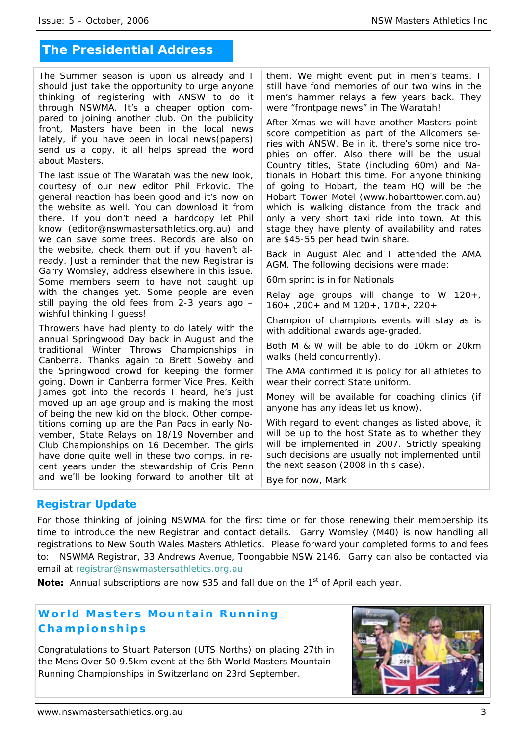# **The Presidential Address**

The Summer season is upon us already and I should just take the opportunity to urge anyone thinking of registering with ANSW to do it through NSWMA. It's a cheaper option compared to joining another club. On the publicity front, Masters have been in the local news lately, if you have been in local news(papers) send us a copy, it all helps spread the word about Masters.

The last issue of The Waratah was the new look, courtesy of our new editor Phil Frkovic. The general reaction has been good and it's now on the website as well. You can download it from there. If you don't need a hardcopy let Phil know (editor@nswmastersathletics.org.au) and we can save some trees. Records are also on the website, check them out if you haven't already. Just a reminder that the new Registrar is Garry Womsley, address elsewhere in this issue. Some members seem to have not caught up with the changes yet. Some people are even still paying the old fees from 2-3 years ago – wishful thinking I guess!

Throwers have had plenty to do lately with the annual Springwood Day back in August and the traditional Winter Throws Championships in Canberra. Thanks again to Brett Soweby and the Springwood crowd for keeping the former going. Down in Canberra former Vice Pres. Keith James got into the records I heard, he's just moved up an age group and is making the most of being the new kid on the block. Other competitions coming up are the Pan Pacs in early November, State Relays on 18/19 November and Club Championships on 16 December. The girls have done quite well in these two comps. in recent years under the stewardship of Cris Penn and we'll be looking forward to another tilt at

them. We might event put in men's teams. I still have fond memories of our two wins in the men's hammer relays a few years back. They were "frontpage news" in The Waratah!

After Xmas we will have another Masters pointscore competition as part of the Allcomers series with ANSW. Be in it, there's some nice trophies on offer. Also there will be the usual Country titles, State (including 60m) and Nationals in Hobart this time. For anyone thinking of going to Hobart, the team HQ will be the Hobart Tower Motel (www.hobarttower.com.au) which is walking distance from the track and only a very short taxi ride into town. At this stage they have plenty of availability and rates are \$45-55 per head twin share.

Back in August Alec and I attended the AMA AGM. The following decisions were made:

60m sprint is in for Nationals

Relay age groups will change to W 120+, 160+ ,200+ and M 120+, 170+, 220+

Champion of champions events will stay as is with additional awards age-graded.

Both M & W will be able to do 10km or 20km walks (held concurrently).

The AMA confirmed it is policy for all athletes to wear their correct State uniform.

Money will be available for coaching clinics (if anyone has any ideas let us know).

With regard to event changes as listed above, it will be up to the host State as to whether they will be implemented in 2007. Strictly speaking such decisions are usually not implemented until the next season (2008 in this case).

Bye for now, Mark

# **Registrar Update**

For those thinking of joining NSWMA for the first time or for those renewing their membership its time to introduce the new Registrar and contact details. Garry Womsley (M40) is now handling all registrations to New South Wales Masters Athletics. Please forward your completed forms to and fees to: NSWMA Registrar, 33 Andrews Avenue, Toongabbie NSW 2146. Garry can also be contacted via email at registrar@nswmastersathletics.org.au

Note: Annual subscriptions are now \$35 and fall due on the 1<sup>st</sup> of April each year.

# **World Masters Mountain Running Championships**

Congratulations to Stuart Paterson (UTS Norths) on placing 27th in the Mens Over 50 9.5km event at the 6th World Masters Mountain Running Championships in Switzerland on 23rd September.

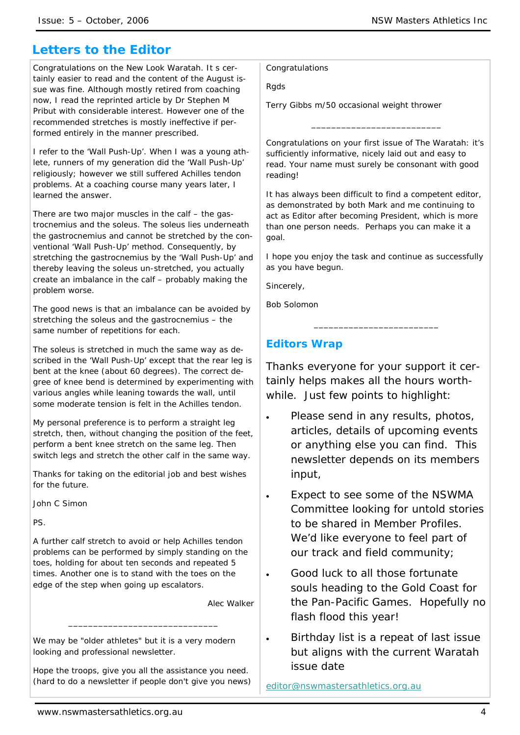# **Letters to the Editor**

Congratulations on the New Look Waratah. It s certainly easier to read and the content of the August issue was fine. Although mostly retired from coaching now, I read the reprinted article by Dr Stephen M Pribut with considerable interest. However one of the recommended stretches is mostly ineffective if performed entirely in the manner prescribed.

I refer to the 'Wall Push-Up'. When I was a young athlete, runners of my generation did the 'Wall Push-Up' religiously; however we still suffered Achilles tendon problems. At a coaching course many years later, I learned the answer.

There are two major muscles in the calf – the gastrocnemius and the soleus. The soleus lies underneath the gastrocnemius and cannot be stretched by the conventional 'Wall Push-Up' method. Consequently, by stretching the gastrocnemius by the 'Wall Push-Up' and thereby leaving the soleus un-stretched, you actually create an imbalance in the calf – probably making the problem worse.

The good news is that an imbalance can be avoided by stretching the soleus and the gastrocnemius – the same number of repetitions for each.

The soleus is stretched in much the same way as described in the 'Wall Push-Up' except that the rear leg is bent at the knee (about 60 degrees). The correct degree of knee bend is determined by experimenting with various angles while leaning towards the wall, until some moderate tension is felt in the Achilles tendon.

My personal preference is to perform a straight leg stretch, then, without changing the position of the feet, perform a bent knee stretch on the same leg. Then switch legs and stretch the other calf in the same way.

Thanks for taking on the editorial job and best wishes for the future.

John C Simon

PS.

A further calf stretch to avoid or help Achilles tendon problems can be performed by simply standing on the toes, holding for about ten seconds and repeated 5 times. Another one is to stand with the toes on the edge of the step when going up escalators.

Alec Walker

We may be "older athletes" but it is a very modern looking and professional newsletter.

Hope the troops, give you all the assistance you need. (hard to do a newsletter if people don't give you news)

\_\_\_\_\_\_\_\_\_\_\_\_\_\_\_\_\_\_\_\_\_\_\_\_\_\_\_\_\_\_

Congratulations

Rgds

Terry Gibbs m/50 occasional weight thrower

Congratulations on your first issue of The Waratah: it's sufficiently informative, nicely laid out and easy to read. Your name must surely be consonant with good reading!

\_\_\_\_\_\_\_\_\_\_\_\_\_\_\_\_\_\_\_\_\_\_\_\_\_\_

It has always been difficult to find a competent editor, as demonstrated by both Mark and me continuing to act as Editor after becoming President, which is more than one person needs. Perhaps you can make it a goal.

I hope you enjoy the task and continue as successfully as you have begun.

\_\_\_\_\_\_\_\_\_\_\_\_\_\_\_\_\_\_\_\_\_\_\_\_\_

Sincerely,

Bob Solomon

# **Editors Wrap**

Thanks everyone for your support it certainly helps makes all the hours worthwhile. Just few points to highlight:

- Please send in any results, photos, articles, details of upcoming events or anything else you can find. This newsletter depends on its members input,
- Expect to see some of the NSWMA Committee looking for untold stories to be shared in Member Profiles. We'd like everyone to feel part of our track and field community;
- Good luck to all those fortunate souls heading to the Gold Coast for the Pan-Pacific Games. Hopefully no flash flood this year!
- Birthday list is a repeat of last issue but aligns with the current Waratah issue date

editor@nswmastersathletics.org.au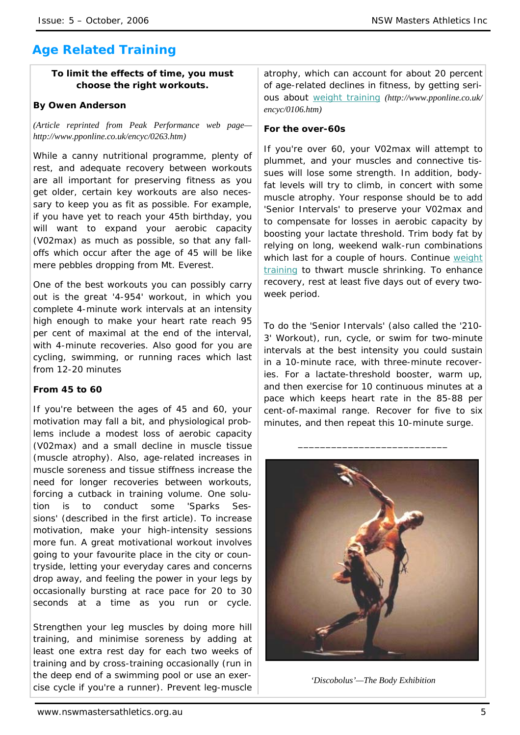# **Age Related Training**

# **To limit the effects of time, you must choose the right workouts.**

### **By Owen Anderson**

*(Article reprinted from Peak Performance web page http://www.pponline.co.uk/encyc/0263.htm)* 

While a canny nutritional programme, plenty of rest, and adequate recovery between workouts are all important for preserving fitness as you get older, certain key workouts are also necessary to keep you as fit as possible. For example, if you have yet to reach your 45th birthday, you will want to expand your aerobic capacity (V02max) as much as possible, so that any falloffs which occur after the age of 45 will be like mere pebbles dropping from Mt. Everest.

One of the best workouts you can possibly carry out is the great '4-954' workout, in which you complete 4-minute work intervals at an intensity high enough to make your heart rate reach 95 per cent of maximal at the end of the interval, with 4-minute recoveries. Also good for you are cycling, swimming, or running races which last from 12-20 minutes

# **From 45 to 60**

If you're between the ages of 45 and 60, your motivation may fall a bit, and physiological problems include a modest loss of aerobic capacity (V02max) and a small decline in muscle tissue (muscle atrophy). Also, age-related increases in muscle soreness and tissue stiffness increase the need for longer recoveries between workouts, forcing a cutback in training volume. One solution is to conduct some 'Sparks Sessions' (described in the first article). To increase motivation, make your high-intensity sessions more fun. A great motivational workout involves going to your favourite place in the city or countryside, letting your everyday cares and concerns drop away, and feeling the power in your legs by occasionally bursting at race pace for 20 to 30 seconds at a time as you run or cycle.

Strengthen your leg muscles by doing more hill training, and minimise soreness by adding at least one extra rest day for each two weeks of training and by cross-training occasionally (run in the deep end of a swimming pool or use an exercise cycle if you're a runner). Prevent leg-muscle atrophy, which can account for about 20 percent of age-related declines in fitness, by getting serious about weight training *(http://www.pponline.co.uk/ encyc/0106.htm)*

### **For the over-60s**

If you're over 60, your V02max will attempt to plummet, and your muscles and connective tissues will lose some strength. In addition, bodyfat levels will try to climb, in concert with some muscle atrophy. Your response should be to add 'Senior Intervals' to preserve your V02max and to compensate for losses in aerobic capacity by boosting your lactate threshold. Trim body fat by relying on long, weekend walk-run combinations which last for a couple of hours. Continue weight training to thwart muscle shrinking. To enhance recovery, rest at least five days out of every twoweek period.

To do the 'Senior Intervals' (also called the '210- 3' Workout), run, cycle, or swim for two-minute intervals at the best intensity you could sustain in a 10-minute race, with three-minute recoveries. For a lactate-threshold booster, warm up, and then exercise for 10 continuous minutes at a pace which keeps heart rate in the 85-88 per cent-of-maximal range. Recover for five to six minutes, and then repeat this 10-minute surge.

\_\_\_\_\_\_\_\_\_\_\_\_\_\_\_\_\_\_\_\_\_\_\_\_\_\_\_



*'Discobolus'—The Body Exhibition*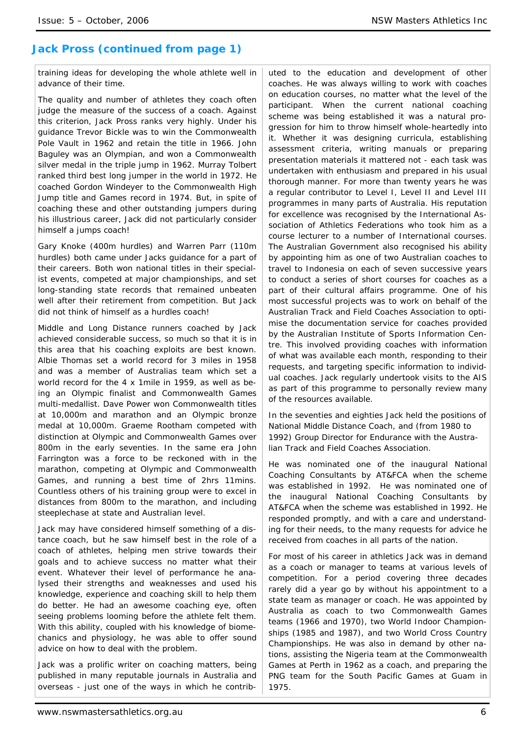# **Jack Pross (continued from page 1)**

training ideas for developing the whole athlete well in advance of their time.

The quality and number of athletes they coach often judge the measure of the success of a coach. Against this criterion, Jack Pross ranks very highly. Under his guidance Trevor Bickle was to win the Commonwealth Pole Vault in 1962 and retain the title in 1966. John Baguley was an Olympian, and won a Commonwealth silver medal in the triple jump in 1962. Murray Tolbert ranked third best long jumper in the world in 1972. He coached Gordon Windeyer to the Commonwealth High Jump title and Games record in 1974. But, in spite of coaching these and other outstanding jumpers during his illustrious career, Jack did not particularly consider himself a jumps coach!

Gary Knoke (400m hurdles) and Warren Parr (110m hurdles) both came under Jacks guidance for a part of their careers. Both won national titles in their specialist events, competed at major championships, and set long-standing state records that remained unbeaten well after their retirement from competition. But Jack did not think of himself as a hurdles coach!

Middle and Long Distance runners coached by Jack achieved considerable success, so much so that it is in this area that his coaching exploits are best known. Albie Thomas set a world record for 3 miles in 1958 and was a member of Australias team which set a world record for the 4 x 1mile in 1959, as well as being an Olympic finalist and Commonwealth Games multi-medallist. Dave Power won Commonwealth titles at 10,000m and marathon and an Olympic bronze medal at 10,000m. Graeme Rootham competed with distinction at Olympic and Commonwealth Games over 800m in the early seventies. In the same era John Farrington was a force to be reckoned with in the marathon, competing at Olympic and Commonwealth Games, and running a best time of 2hrs 11mins. Countless others of his training group were to excel in distances from 800m to the marathon, and including steeplechase at state and Australian level.

Jack may have considered himself something of a distance coach, but he saw himself best in the role of a coach of athletes, helping men strive towards their goals and to achieve success no matter what their event. Whatever their level of performance he analysed their strengths and weaknesses and used his knowledge, experience and coaching skill to help them do better. He had an awesome coaching eye, often seeing problems looming before the athlete felt them. With this ability, coupled with his knowledge of biomechanics and physiology, he was able to offer sound advice on how to deal with the problem.

Jack was a prolific writer on coaching matters, being published in many reputable journals in Australia and overseas - just one of the ways in which he contributed to the education and development of other coaches. He was always willing to work with coaches on education courses, no matter what the level of the participant. When the current national coaching scheme was being established it was a natural progression for him to throw himself whole-heartedly into it. Whether it was designing curricula, establishing assessment criteria, writing manuals or preparing presentation materials it mattered not - each task was undertaken with enthusiasm and prepared in his usual thorough manner. For more than twenty years he was a regular contributor to Level I, Level II and Level III programmes in many parts of Australia. His reputation for excellence was recognised by the International Association of Athletics Federations who took him as a course lecturer to a number of International courses. The Australian Government also recognised his ability by appointing him as one of two Australian coaches to travel to Indonesia on each of seven successive years to conduct a series of short courses for coaches as a part of their cultural affairs programme. One of his most successful projects was to work on behalf of the Australian Track and Field Coaches Association to optimise the documentation service for coaches provided by the Australian Institute of Sports Information Centre. This involved providing coaches with information of what was available each month, responding to their requests, and targeting specific information to individual coaches. Jack regularly undertook visits to the AIS as part of this programme to personally review many of the resources available.

In the seventies and eighties Jack held the positions of National Middle Distance Coach, and (from 1980 to 1992) Group Director for Endurance with the Australian Track and Field Coaches Association.

He was nominated one of the inaugural National Coaching Consultants by AT&FCA when the scheme was established in 1992. He was nominated one of the inaugural National Coaching Consultants by AT&FCA when the scheme was established in 1992. He responded promptly, and with a care and understanding for their needs, to the many requests for advice he received from coaches in all parts of the nation.

For most of his career in athletics Jack was in demand as a coach or manager to teams at various levels of competition. For a period covering three decades rarely did a year go by without his appointment to a state team as manager or coach. He was appointed by Australia as coach to two Commonwealth Games teams (1966 and 1970), two World Indoor Championships (1985 and 1987), and two World Cross Country Championships. He was also in demand by other nations, assisting the Nigeria team at the Commonwealth Games at Perth in 1962 as a coach, and preparing the PNG team for the South Pacific Games at Guam in 1975.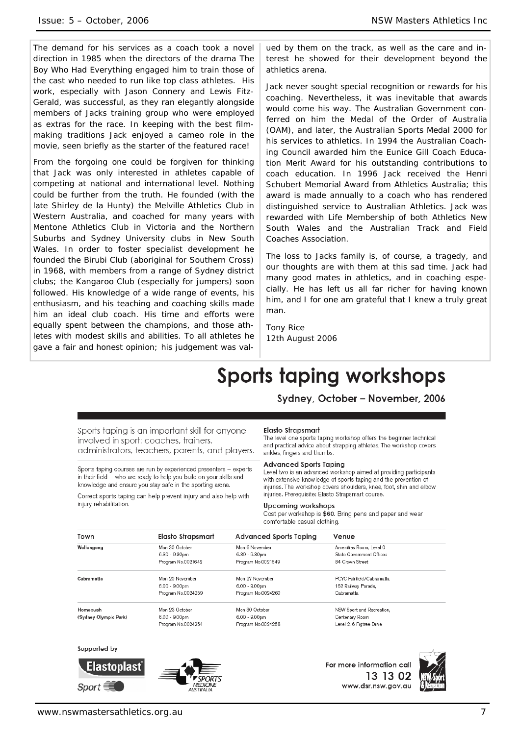The demand for his services as a coach took a novel direction in 1985 when the directors of the drama The Boy Who Had Everything engaged him to train those of the cast who needed to run like top class athletes. His work, especially with Jason Connery and Lewis Fitz-Gerald, was successful, as they ran elegantly alongside members of Jacks training group who were employed as extras for the race. In keeping with the best filmmaking traditions Jack enjoyed a cameo role in the movie, seen briefly as the starter of the featured race!

From the forgoing one could be forgiven for thinking that Jack was only interested in athletes capable of competing at national and international level. Nothing could be further from the truth. He founded (with the late Shirley de la Hunty) the Melville Athletics Club in Western Australia, and coached for many years with Mentone Athletics Club in Victoria and the Northern Suburbs and Sydney University clubs in New South Wales. In order to foster specialist development he founded the Birubi Club (aboriginal for Southern Cross) in 1968, with members from a range of Sydney district clubs; the Kangaroo Club (especially for jumpers) soon followed. His knowledge of a wide range of events, his enthusiasm, and his teaching and coaching skills made him an ideal club coach. His time and efforts were equally spent between the champions, and those athletes with modest skills and abilities. To all athletes he gave a fair and honest opinion; his judgement was val-

ued by them on the track, as well as the care and interest he showed for their development beyond the athletics arena.

Jack never sought special recognition or rewards for his coaching. Nevertheless, it was inevitable that awards would come his way. The Australian Government conferred on him the Medal of the Order of Australia (OAM), and later, the Australian Sports Medal 2000 for his services to athletics. In 1994 the Australian Coaching Council awarded him the Eunice Gill Coach Education Merit Award for his outstanding contributions to coach education. In 1996 Jack received the Henri Schubert Memorial Award from Athletics Australia; this award is made annually to a coach who has rendered distinguished service to Australian Athletics. Jack was rewarded with Life Membership of both Athletics New South Wales and the Australian Track and Field Coaches Association.

The loss to Jacks family is, of course, a tragedy, and our thoughts are with them at this sad time. Jack had many good mates in athletics, and in coaching especially. He has left us all far richer for having known him, and I for one am grateful that I knew a truly great man.

Tony Rice 12th August 2006

# **Sports taping workshops**

Sydney, October - November, 2006

Sports taping is an important skill for anyone involved in sport: coaches, trainers, administrators, teachers, parents, and players.

Sports taping courses are run by experienced presenters - experts in their field - who are ready to help you build on your skills and knowledge and ensure you stay safe in the sporting arena.

Correct sports taping can help prevent injury and also help with injury rehabilitation.

#### Elasto Strapsmart

The level one sports taping workshop offers the beginner technical and practical advice about strapping athletes. The workshop covers ankles, fingers and thumbs.

#### **Advanced Sports Taping**

Level two is an advanced workshop aimed at providing participants with extensive knowledge of sports taping and the prevention of injuries. The workshop covers shoulders, knee, foot, shin and elbow injuries. Prerequisite: Elasto Strapsmart course.

#### **Upcoming workshops**

Cost per workshop is \$60. Bring pens and paper and wear comfortable casual clothing.

| Town                  | Elasto Strapsmart  | Advanced Sports Taping | Venue                     |
|-----------------------|--------------------|------------------------|---------------------------|
| Wollongong            | Mon 30 October     | Mon 6 November         | Amenities Room, Level 0   |
|                       | $6.30 - 9.30$ pm   | 6.30 - 9.30pm          | State Government Offices  |
|                       | Program No.0021642 | Program No.0021649     | 84 Crown Street           |
| Cabramatta            | Mon 20 November    | Mon 27 November        | PCYC Fairfield/Cabramatta |
|                       | $6.00 - 9.00$ pm   | 6.00 - 9.00pm          | 162 Railway Parade,       |
|                       | Program No.0024259 | Program No.0024260     | Cabramatta                |
| Homebush              | Mon 23 October     | Mon 30 October         | NSW Sport and Recreation, |
| (Sydney Olympic Park) | $6.00 - 9.00$ pm   | $6.00 - 9.00$ pm       | Centenary Room            |
|                       | Program No.0024254 | Program No.0024258     | Level 2, 6 Figtree Drive  |

Supported by





For more information call 13 13 02 www.dsr.nsw.gov.au

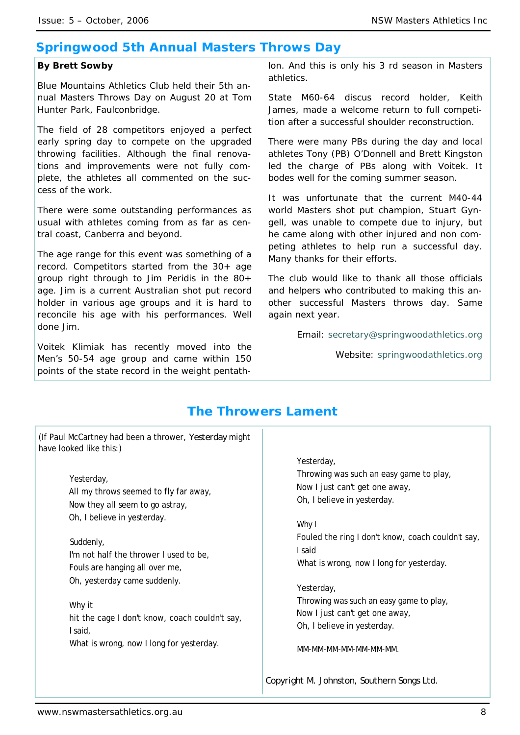# **Springwood 5th Annual Masters Throws Day**

# *By Brett Sowby*

*Blue Mountains Athletics Club held their 5th annual Masters Throws Day on August 20 at Tom Hunter Park, Faulconbridge.* 

*The field of 28 competitors enjoyed a perfect early spring day to compete on the upgraded throwing facilities. Although the final renovations and improvements were not fully complete, the athletes all commented on the success of the work.* 

*There were some outstanding performances as usual with athletes coming from as far as central coast, Canberra and beyond.* 

*The age range for this event was something of a record. Competitors started from the 30+ age group right through to Jim Peridis in the 80+ age. Jim is a current Australian shot put record holder in various age groups and it is hard to reconcile his age with his performances. Well done Jim.* 

*Voitek Klimiak has recently moved into the Men's 50-54 age group and came within 150 points of the state record in the weight pentath-* *lon. And this is only his 3 rd season in Masters athletics.* 

*State M60-64 discus record holder, Keith James, made a welcome return to full competition after a successful shoulder reconstruction.* 

*There were many PBs during the day and local athletes Tony (PB) O'Donnell and Brett Kingston led the charge of PBs along with Voitek. It bodes well for the coming summer season.* 

*It was unfortunate that the current M40-44 world Masters shot put champion, Stuart Gyngell, was unable to compete due to injury, but he came along with other injured and non competing athletes to help run a successful day. Many thanks for their efforts.* 

*The club would like to thank all those officials and helpers who contributed to making this another successful Masters throws day. Same again next year.* 

*Email: secretary@springwoodathletics.org*

*Website: springwoodathletics.org*

# **The Throwers Lament**

(If Paul McCartney had been a thrower, *Yesterday* might have looked like this:)

> Yesterday, All my throws seemed to fly far away, Now they all seem to go astray, Oh, I believe in yesterday.

Suddenly, I'm not half the thrower I used to be, Fouls are hanging all over me, Oh, yesterday came suddenly.

Why it hit the cage I don't know, coach couldn't say, I said, What is wrong, now I long for yesterday.

Yesterday,

Throwing was such an easy game to play, Now I just can't get one away, Oh, I believe in yesterday.

Why I

Fouled the ring I don't know, coach couldn't say, I said What is wrong, now I long for yesterday.

Yesterday, Throwing was such an easy game to play, Now I just can't get one away, Oh, I believe in yesterday.

MM-MM-MM-MM-MM-MM-MM.

*Copyright M. Johnston, Southern Songs Ltd.*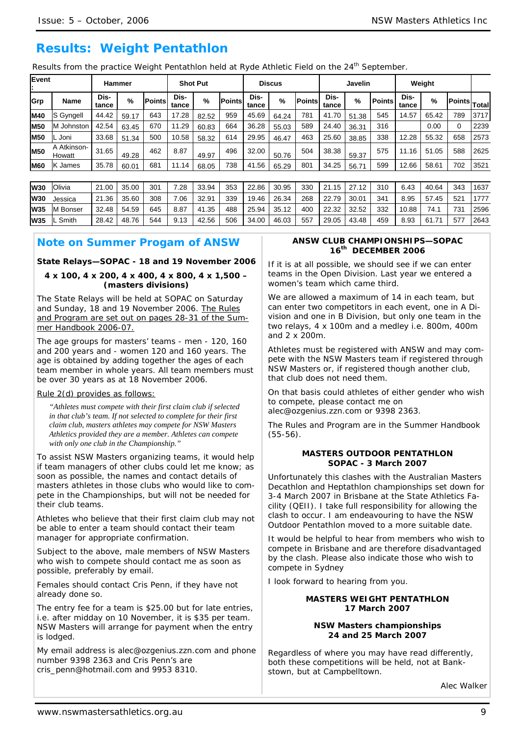# **Results: Weight Pentathlon**

Results from the practice Weight Pentathlon held at Ryde Athletic Field on the 24<sup>th</sup> September.

| Event<br>Ŀ. |                       | Hammer        |       |               |               | <b>Shot Put</b> |               | <b>Discus</b><br>Javelin |       |                | Weight        |       |               |               |       |              |      |
|-------------|-----------------------|---------------|-------|---------------|---------------|-----------------|---------------|--------------------------|-------|----------------|---------------|-------|---------------|---------------|-------|--------------|------|
| Grp         | <b>Name</b>           | Dis-<br>tance | %     | <b>Points</b> | Dis-<br>tance | %               | <b>Points</b> | Dis-<br>tance            | %     | <b>IPoints</b> | Dis-<br>tance | %     | <b>Points</b> | Dis-<br>tance | %     | Points Total |      |
| <b>M40</b>  | <b>S</b> Gyngell      | 44.42         | 59.17 | 643           | 17.28         | 82.52           | 959           | 45.69                    | 64.24 | 781            | 41.70         | 51.38 | 545           | 14.57         | 65.42 | 789          | 3717 |
| <b>M50</b>  | M Johnston            | 42.54         | 63.45 | 670           | 11.29         | 60.83           | 664           | 36.28                    | 55.03 | 589            | 24.40         | 36.31 | 316           |               | 0.00  | 0            | 2239 |
| <b>M50</b>  | IL Joni               | 33.68         | 51.34 | 500           | 10.58         | 58.32           | 614           | 29.95                    | 46.47 | 463            | 25.60         | 38.85 | 338           | 12.28         | 55.32 | 658          | 2573 |
| <b>M50</b>  | A Atkinson-<br>Howatt | 31.65         | 49.28 | 462           | 8.87          | 49.97           | 496           | 32.00                    | 50.76 | 504            | 38.38         | 59.37 | 575           | 11.16         | 51.05 | 588          | 2625 |
| <b>M60</b>  | K James               | 35.78         | 60.01 | 681           | 11.14         | 68.05           | 738           | 41.56                    | 65.29 | 801            | 34.25         | 56.71 | 599           | 12.66         | 58.61 | 702          | 3521 |

| <b>W30</b> | Olivia           | 21.00 | 35.00 | 301 | 7.28 | 33.94 | 353 | 22.86 | 30.95 | 330 | $121.15$ $27.12$ |             | 310 | 6.43  | 40.64 | 343 | 1637 |
|------------|------------------|-------|-------|-----|------|-------|-----|-------|-------|-----|------------------|-------------|-----|-------|-------|-----|------|
| <b>W30</b> | Jessica          | 21.36 | 35.60 | 308 | 7.06 | 32.91 | 339 | 19.46 | 26.34 | 268 | 22.79            | 30.01       | 341 | 8.95  | 57.45 | 521 | 1777 |
| <b>W35</b> | <b>IM Bonser</b> | 32.48 | 54.59 | 645 | 8.87 | 41.35 | 488 | 25.94 | 35.12 | 400 | $22.32$ 32.52    |             | 332 | 10.88 | 74.1  | 731 | 2596 |
| <b>W35</b> | L Smith          | 28.42 | 48.76 | 544 | 9.13 | 42.56 | 506 | 34.00 | 46.03 | 557 |                  | 29.05 43.48 | 459 | 8.93  | 61.71 | 577 | 2643 |

# **Note on Summer Progam of ANSW**

### **State Relays—SOPAC - 18 and 19 November 2006**

### **4 x 100, 4 x 200, 4 x 400, 4 x 800, 4 x 1,500 – (masters divisions)**

The State Relays will be held at SOPAC on Saturday and Sunday, 18 and 19 November 2006. The Rules and Program are set out on pages 28-31 of the Summer Handbook 2006-07.

The age groups for masters' teams - men - 120, 160 and 200 years and - women 120 and 160 years. The age is obtained by adding together the ages of each team member in whole years. All team members must be over 30 years as at 18 November 2006.

#### Rule 2(d) provides as follows:

*"Athletes must compete with their first claim club if selected in that club's team. If not selected to complete for their first claim club, masters athletes may compete for NSW Masters Athletics provided they are a member. Athletes can compete with only one club in the Championship."* 

To assist NSW Masters organizing teams, it would help if team managers of other clubs could let me know; as soon as possible, the names and contact details of masters athletes in those clubs who would like to compete in the Championships, but will not be needed for their club teams.

Athletes who believe that their first claim club may not be able to enter a team should contact their team manager for appropriate confirmation.

Subject to the above, male members of NSW Masters who wish to compete should contact me as soon as possible, preferably by email.

Females should contact Cris Penn, if they have not already done so.

The entry fee for a team is \$25.00 but for late entries, i.e. after midday on 10 November, it is \$35 per team. NSW Masters will arrange for payment when the entry is lodged.

My email address is alec@ozgenius.zzn.com and phone number 9398 2363 and Cris Penn's are cris\_penn@hotmail.com and 9953 8310.

### **ANSW CLUB CHAMPIONSHIPS—SOPAC 16th DECEMBER 2006**

If it is at all possible, we should see if we can enter teams in the Open Division. Last year we entered a women's team which came third.

We are allowed a maximum of 14 in each team, but can enter two competitors in each event, one in A Division and one in B Division, but only one team in the two relays, 4 x 100m and a medley i.e. 800m, 400m and 2 x 200m.

Athletes must be registered with ANSW and may compete with the NSW Masters team if registered through NSW Masters or, if registered though another club, that club does not need them.

On that basis could athletes of either gender who wish to compete, please contact me on alec@ozgenius.zzn.com or 9398 2363.

The Rules and Program are in the Summer Handbook (55-56).

### **MASTERS OUTDOOR PENTATHLON SOPAC - 3 March 2007**

Unfortunately this clashes with the Australian Masters Decathlon and Heptathlon championships set down for 3-4 March 2007 in Brisbane at the State Athletics Facility (QEII). I take full responsibility for allowing the clash to occur. I am endeavouring to have the NSW Outdoor Pentathlon moved to a more suitable date.

It would be helpful to hear from members who wish to compete in Brisbane and are therefore disadvantaged by the clash. Please also indicate those who wish to compete in Sydney

I look forward to hearing from you.

#### **MASTERS WEIGHT PENTATHLON 17 March 2007**

#### **NSW Masters championships 24 and 25 March 2007**

Regardless of where you may have read differently, both these competitions will be held, not at Bankstown, but at Campbelltown.

Alec Walker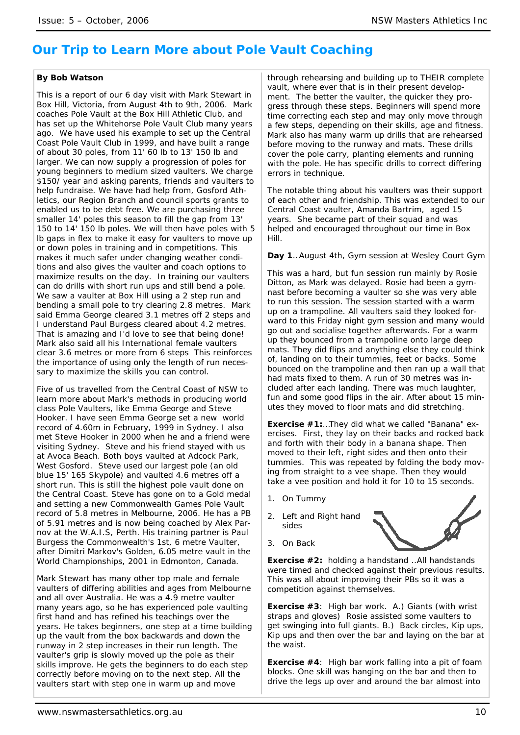# **Our Trip to Learn More about Pole Vault Coaching**

### *By Bob Watson*

This is a report of our 6 day visit with Mark Stewart in Box Hill, Victoria, from August 4th to 9th, 2006. Mark coaches Pole Vault at the Box Hill Athletic Club, and has set up the Whitehorse Pole Vault Club many years ago. We have used his example to set up the Central Coast Pole Vault Club in 1999, and have built a range of about 30 poles, from 11' 60 lb to 13' 150 lb and larger. We can now supply a progression of poles for young beginners to medium sized vaulters. We charge \$150/ year and asking parents, friends and vaulters to help fundraise. We have had help from, Gosford Athletics, our Region Branch and council sports grants to enabled us to be debt free. We are purchasing three smaller 14' poles this season to fill the gap from 13' 150 to 14' 150 lb poles. We will then have poles with 5 lb gaps in flex to make it easy for vaulters to move up or down poles in training and in competitions. This makes it much safer under changing weather conditions and also gives the vaulter and coach options to maximize results on the day. In training our vaulters can do drills with short run ups and still bend a pole. We saw a vaulter at Box Hill using a 2 step run and bending a small pole to try clearing 2.8 metres. Mark said Emma George cleared 3.1 metres off 2 steps and I understand Paul Burgess cleared about 4.2 metres. That is amazing and I'd love to see that being done! Mark also said all his International female vaulters clear 3.6 metres or more from 6 steps This reinforces the importance of using only the length of run necessary to maximize the skills you can control.

Five of us travelled from the Central Coast of NSW to learn more about Mark's methods in producing world class Pole Vaulters, like Emma George and Steve Hooker. I have seen Emma George set a new world record of 4.60m in February, 1999 in Sydney. I also met Steve Hooker in 2000 when he and a friend were visiting Sydney. Steve and his friend stayed with us at Avoca Beach. Both boys vaulted at Adcock Park, West Gosford. Steve used our largest pole (an old blue 15' 165 Skypole) and vaulted 4.6 metres off a short run. This is still the highest pole vault done on the Central Coast. Steve has gone on to a Gold medal and setting a new Commonwealth Games Pole Vault record of 5.8 metres in Melbourne, 2006. He has a PB of 5.91 metres and is now being coached by Alex Parnov at the W.A.I.S, Perth. His training partner is Paul Burgess the Commonwealth's 1st, 6 metre Vaulter, after Dimitri Markov's Golden, 6.05 metre vault in the World Championships, 2001 in Edmonton, Canada.

Mark Stewart has many other top male and female vaulters of differing abilities and ages from Melbourne and all over Australia. He was a 4.9 metre vaulter many years ago, so he has experienced pole vaulting first hand and has refined his teachings over the years. He takes beginners, one step at a time building up the vault from the box backwards and down the runway in 2 step increases in their run length. The vaulter's grip is slowly moved up the pole as their skills improve. He gets the beginners to do each step correctly before moving on to the next step. All the vaulters start with step one in warm up and move

through rehearsing and building up to THEIR complete vault, where ever that is in their present development. The better the vaulter, the quicker they progress through these steps. Beginners will spend more time correcting each step and may only move through a few steps, depending on their skills, age and fitness. Mark also has many warm up drills that are rehearsed before moving to the runway and mats. These drills cover the pole carry, planting elements and running with the pole. He has specific drills to correct differing errors in technique.

The notable thing about his vaulters was their support of each other and friendship. This was extended to our Central Coast vaulter, Amanda Bartrim, aged 15 years. She became part of their squad and was helped and encouraged throughout our time in Box Hill.

**Day 1**…August 4th, Gym session at Wesley Court Gym

This was a hard, but fun session run mainly by Rosie Ditton, as Mark was delayed. Rosie had been a gymnast before becoming a vaulter so she was very able to run this session. The session started with a warm up on a trampoline. All vaulters said they looked forward to this Friday night gym session and many would go out and socialise together afterwards. For a warm up they bounced from a trampoline onto large deep mats. They did flips and anything else they could think of, landing on to their tummies, feet or backs. Some bounced on the trampoline and then ran up a wall that had mats fixed to them. A run of 30 metres was included after each landing. There was much laughter, fun and some good flips in the air. After about 15 minutes they moved to floor mats and did stretching.

*Exercise #1:*…They did what we called "Banana" exercises. First, they lay on their backs and rocked back and forth with their body in a banana shape. Then moved to their left, right sides and then onto their tummies. This was repeated by folding the body moving from straight to a vee shape. Then they would take a vee position and hold it for 10 to 15 seconds.

1. On Tummy

3. On Back

2. Left and Right hand sides



*Exercise #2:* holding a handstand ..All handstands were timed and checked against their previous results. This was all about improving their PBs so it was a competition against themselves.

*Exercise #3*: High bar work. A.) Giants (with wrist straps and gloves) Rosie assisted some vaulters to get swinging into full giants. B.) Back circles, Kip ups, Kip ups and then over the bar and laying on the bar at the waist.

*Exercise #4*: High bar work falling into a pit of foam blocks. One skill was hanging on the bar and then to drive the legs up over and around the bar almost into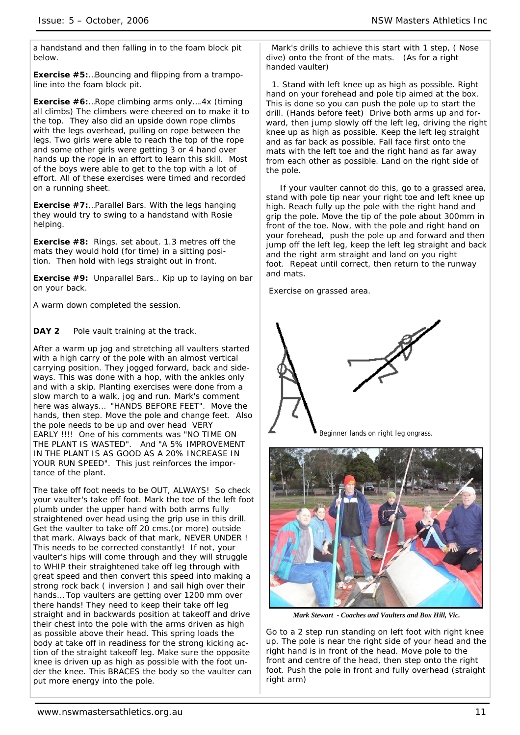a handstand and then falling in to the foam block pit below.

*Exercise #5:*…Bouncing and flipping from a trampoline into the foam block pit.

*Exercise #6:*…Rope climbing arms only….4x (timing all climbs) The climbers were cheered on to make it to the top. They also did an upside down rope climbs with the legs overhead, pulling on rope between the legs. Two girls were able to reach the top of the rope and some other girls were getting 3 or 4 hand over hands up the rope in an effort to learn this skill. Most of the boys were able to get to the top with a lot of effort. All of these exercises were timed and recorded on a running sheet.

*Exercise #7:*…Parallel Bars. With the legs hanging they would try to swing to a handstand with Rosie helping.

*Exercise #8***:** Rings. set about. 1.3 metres off the mats they would hold (for time) in a sitting position. Then hold with legs straight out in front.

*Exercise #9***:** Unparallel Bars.. Kip up to laying on bar on your back.

A warm down completed the session.

**DAY 2** Pole vault training at the track.

After a warm up jog and stretching all vaulters started with a high carry of the pole with an almost vertical carrying position. They jogged forward, back and sideways. This was done with a hop, with the ankles only and with a skip. Planting exercises were done from a slow march to a walk, jog and run. Mark's comment here was always… "HANDS BEFORE FEET". Move the hands, then step. Move the pole and change feet. Also the pole needs to be up and over head VERY EARLY !!!! One of his comments was "NO TIME ON THE PLANT IS WASTED". And "A 5% IMPROVEMENT IN THE PLANT IS AS GOOD AS A 20% INCREASE IN YOUR RUN SPEED". This just reinforces the importance of the plant.

The take off foot needs to be OUT, ALWAYS! So check your vaulter's take off foot. Mark the toe of the left foot plumb under the upper hand with both arms fully straightened over head using the grip use in this drill. Get the vaulter to take off 20 cms.(or more) outside that mark. Always back of that mark, NEVER UNDER ! This needs to be corrected constantly! If not, your vaulter's hips will come through and they will struggle to WHIP their straightened take off leg through with great speed and then convert this speed into making a strong rock back ( inversion ) and sail high over their hands… Top vaulters are getting over 1200 mm over there hands! They need to keep their take off leg straight and in backwards position at takeoff and drive their chest into the pole with the arms driven as high as possible above their head. This spring loads the body at take off in readiness for the strong kicking action of the straight takeoff leg. Make sure the opposite knee is driven up as high as possible with the foot under the knee. This BRACES the body so the vaulter can put more energy into the pole.

 Mark's drills to achieve this start with 1 step, ( Nose dive) onto the front of the mats. (As for a right handed vaulter)

 1. Stand with left knee up as high as possible. Right hand on your forehead and pole tip aimed at the box. This is done so you can push the pole up to start the drill. (Hands before feet) Drive both arms up and forward, then jump slowly off the left leg, driving the right knee up as high as possible. Keep the left leg straight and as far back as possible. Fall face first onto the mats with the left toe and the right hand as far away from each other as possible. Land on the right side of the pole.

 If your vaulter cannot do this, go to a grassed area, stand with pole tip near your right toe and left knee up high. Reach fully up the pole with the right hand and grip the pole. Move the tip of the pole about 300mm in front of the toe. Now, with the pole and right hand on your forehead, push the pole up and forward and then jump off the left leg, keep the left leg straight and back and the right arm straight and land on you right foot. Repeat until correct, then return to the runway and mats.

Exercise on grassed area.





*Mark Stewart - Coaches and Vaulters and Box Hill, Vic.* 

Go to a 2 step run standing on left foot with right knee up. The pole is near the right side of your head and the right hand is in front of the head. Move pole to the front and centre of the head, then step onto the right foot. Push the pole in front and fully overhead (straight right arm)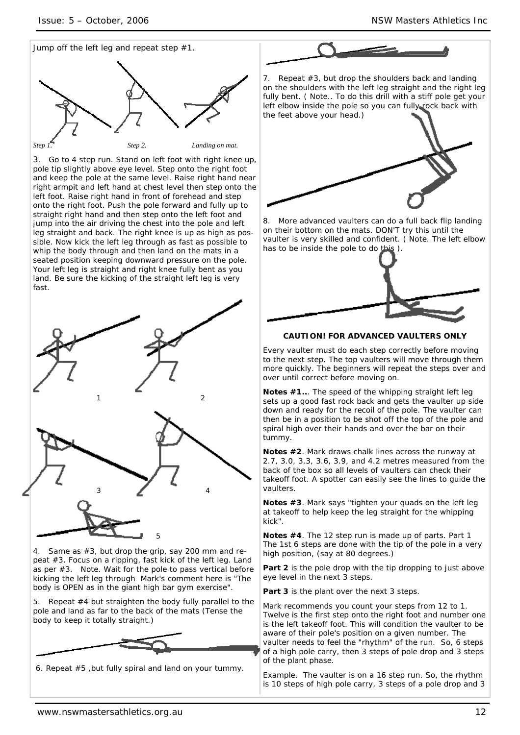

3. Go to 4 step run. Stand on left foot with right knee up, pole tip slightly above eye level. Step onto the right foot and keep the pole at the same level. Raise right hand near right armpit and left hand at chest level then step onto the left foot. Raise right hand in front of forehead and step onto the right foot. Push the pole forward and fully up to straight right hand and then step onto the left foot and jump into the air driving the chest into the pole and left leg straight and back. The right knee is up as high as possible. Now kick the left leg through as fast as possible to whip the body through and then land on the mats in a seated position keeping downward pressure on the pole. Your left leg is straight and right knee fully bent as you land. Be sure the kicking of the straight left leg is very fast.



4. Same as #3, but drop the grip, say 200 mm and repeat #3. Focus on a ripping, fast kick of the left leg. Land as per #3. Note. Wait for the pole to pass vertical before kicking the left leg through Mark's comment here is "The body is OPEN as in the giant high bar gym exercise".

5. Repeat #4 but straighten the body fully parallel to the pole and land as far to the back of the mats (Tense the body to keep it totally straight.)



6. Repeat #5 ,but fully spiral and land on your tummy.



7. Repeat #3, but drop the shoulders back and landing on the shoulders with the left leg straight and the right leg fully bent. ( Note.. To do this drill with a stiff pole get your left elbow inside the pole so you can fully rock back with the feet above your head.)



8. More advanced vaulters can do a full back flip landing on their bottom on the mats. DON'T try this until the vaulter is very skilled and confident. ( Note. The left elbow has to be inside the pole to do this ).



# **CAUTION! FOR ADVANCED VAULTERS ONLY**

Every vaulter must do each step correctly before moving to the next step. The top vaulters will move through them more quickly. The beginners will repeat the steps over and over until correct before moving on.

**Notes #1..**. The speed of the whipping straight left leg sets up a good fast rock back and gets the vaulter up side down and ready for the recoil of the pole. The vaulter can then be in a position to be shot off the top of the pole and spiral high over their hands and over the bar on their tummy.

**Notes #2**. Mark draws chalk lines across the runway at 2.7, 3.0, 3.3, 3.6, 3.9, and 4.2 metres measured from the back of the box so all levels of vaulters can check their takeoff foot. A spotter can easily see the lines to guide the vaulters.

**Notes #3**. Mark says "tighten your quads on the left leg at takeoff to help keep the leg straight for the whipping kick".

**Notes #4**. The 12 step run is made up of parts. Part 1 The 1st 6 steps are done with the tip of the pole in a very high position, (say at 80 degrees.)

Part 2 is the pole drop with the tip dropping to just above eye level in the next 3 steps.

**Part 3** is the plant over the next 3 steps.

Mark recommends you count your steps from 12 to 1. Twelve is the first step onto the right foot and number one is the left takeoff foot. This will condition the vaulter to be aware of their pole's position on a given number. The vaulter needs to feel the "rhythm" of the run. So, 6 steps of a high pole carry, then 3 steps of pole drop and 3 steps of the plant phase.

Example. The vaulter is on a 16 step run. So, the rhythm is 10 steps of high pole carry, 3 steps of a pole drop and 3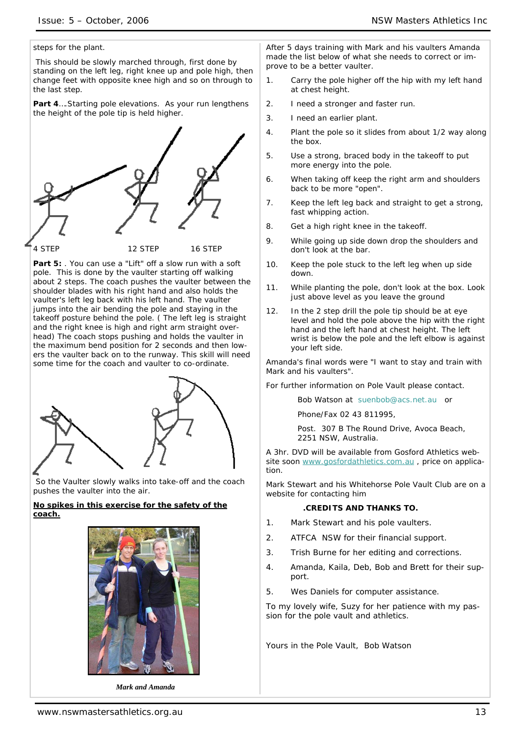steps for the plant.

 This should be slowly marched through, first done by standing on the left leg, right knee up and pole high, then change feet with opposite knee high and so on through to the last step.

**Part 4**….Starting pole elevations. As your run lengthens the height of the pole tip is held higher.



Part 5: You can use a "Lift" off a slow run with a soft pole. This is done by the vaulter starting off walking about 2 steps. The coach pushes the vaulter between the shoulder blades with his right hand and also holds the vaulter's left leg back with his left hand. The vaulter jumps into the air bending the pole and staying in the takeoff posture behind the pole. ( The left leg is straight and the right knee is high and right arm straight overhead) The coach stops pushing and holds the vaulter in the maximum bend position for 2 seconds and then lowers the vaulter back on to the runway. This skill will need some time for the coach and vaulter to co-ordinate.



 So the Vaulter slowly walks into take-off and the coach pushes the vaulter into the air.

### *No spikes in this exercise for the safety of the coach.*



 *Mark and Amanda* 

After 5 days training with Mark and his vaulters Amanda made the list below of what she needs to correct or improve to be a better vaulter.

- 1. Carry the pole higher off the hip with my left hand at chest height.
- 2. I need a stronger and faster run.
- 3. I need an earlier plant.
- 4. Plant the pole so it slides from about 1/2 way along the box.
- 5. Use a strong, braced body in the takeoff to put more energy into the pole.
- 6. When taking off keep the right arm and shoulders back to be more "open".
- 7. Keep the left leg back and straight to get a strong, fast whipping action.
- 8. Get a high right knee in the takeoff.
- 9. While going up side down drop the shoulders and don't look at the bar.
- 10. Keep the pole stuck to the left leg when up side down.
- 11. While planting the pole, don't look at the box. Look just above level as you leave the ground
- 12. In the 2 step drill the pole tip should be at eye level and hold the pole above the hip with the right hand and the left hand at chest height. The left wrist is below the pole and the left elbow is against your left side.

Amanda's final words were "I want to stay and train with Mark and his vaulters".

For further information on Pole Vault please contact.

Bob Watson at suenbob@acs.net.au or

Phone/Fax 02 43 811995,

Post. 307 B The Round Drive, Avoca Beach, 2251 NSW, Australia.

A 3hr. DVD will be available from Gosford Athletics website soon www.gosfordathletics.com.au, price on application.

Mark Stewart and his Whitehorse Pole Vault Club are on a website for contacting him

#### **.CREDITS AND THANKS TO.**

- 1. Mark Stewart and his pole vaulters.
- 2. ATFCA NSW for their financial support.
- 3. Trish Burne for her editing and corrections.
- 4. Amanda, Kaila, Deb, Bob and Brett for their support.
- 5. Wes Daniels for computer assistance.

To my lovely wife, Suzy for her patience with my passion for the pole vault and athletics.

Yours in the Pole Vault, Bob Watson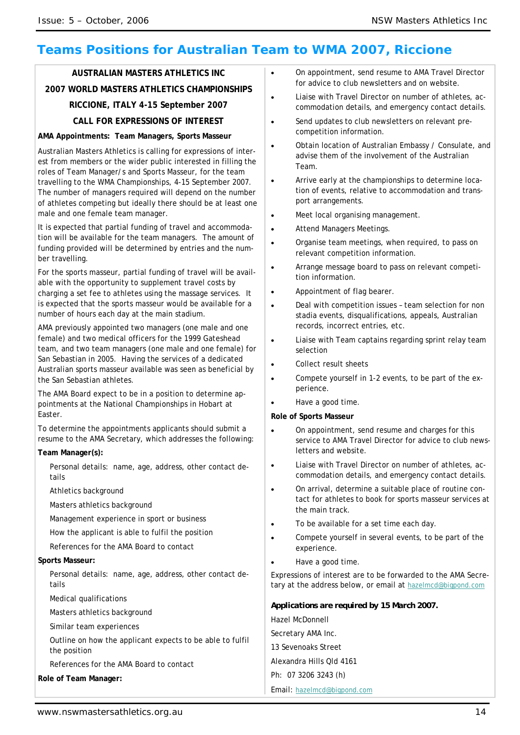# **Teams Positions for Australian Team to WMA 2007, Riccione**

# **AUSTRALIAN MASTERS ATHLETICS INC 2007 WORLD MASTERS ATHLETICS CHAMPIONSHIPS RICCIONE, ITALY 4-15 September 2007 CALL FOR EXPRESSIONS OF INTEREST**

### **AMA Appointments: Team Managers, Sports Masseur**

Australian Masters Athletics is calling for expressions of interest from members or the wider public interested in filling the roles of Team Manager/s and Sports Masseur, for the team travelling to the WMA Championships, 4-15 September 2007. The number of managers required will depend on the number of athletes competing but ideally there should be at least one male and one female team manager.

It is expected that partial funding of travel and accommodation will be available for the team managers. The amount of funding provided will be determined by entries and the number travelling.

For the sports masseur, partial funding of travel will be available with the opportunity to supplement travel costs by charging a set fee to athletes using the massage services. It is expected that the sports masseur would be available for a number of hours each day at the main stadium.

AMA previously appointed two managers (one male and one female) and two medical officers for the 1999 Gateshead team, and two team managers (one male and one female) for San Sebastian in 2005. Having the services of a dedicated Australian sports masseur available was seen as beneficial by the San Sebastian athletes.

The AMA Board expect to be in a position to determine appointments at the National Championships in Hobart at Easter.

To determine the appointments applicants should submit a resume to the AMA Secretary, which addresses the following:

#### **Team Manager(s):**

- Personal details: name, age, address, other contact details
- Athletics background
- Masters athletics background
- Management experience in sport or business
- How the applicant is able to fulfil the position
- References for the AMA Board to contact

#### **Sports Masseur:**

Personal details: name, age, address, other contact details

- Medical qualifications
- Masters athletics background
- Similar team experiences

Outline on how the applicant expects to be able to fulfil the position

References for the AMA Board to contact

**Role of Team Manager:** 

- On appointment, send resume to AMA Travel Director for advice to club newsletters and on website.
- Liaise with Travel Director on number of athletes, accommodation details, and emergency contact details.
- Send updates to club newsletters on relevant precompetition information.
- Obtain location of Australian Embassy / Consulate, and advise them of the involvement of the Australian Team.
- Arrive early at the championships to determine location of events, relative to accommodation and transport arrangements.
- Meet local organising management.
- Attend Managers Meetings.
- Organise team meetings, when required, to pass on relevant competition information.
- Arrange message board to pass on relevant competition information.
- Appointment of flag bearer.
- Deal with competition issues team selection for non stadia events, disqualifications, appeals, Australian records, incorrect entries, etc.
- Liaise with Team captains regarding sprint relay team selection
- Collect result sheets
- Compete yourself in 1-2 events, to be part of the experience.
- Have a good time.

#### **Role of Sports Masseur**

- On appointment, send resume and charges for this service to AMA Travel Director for advice to club newsletters and website.
- Liaise with Travel Director on number of athletes, accommodation details, and emergency contact details.
- On arrival, determine a suitable place of routine contact for athletes to book for sports masseur services at the main track.
- To be available for a set time each day.
- Compete yourself in several events, to be part of the experience.
- Have a good time.

Expressions of interest are to be forwarded to the AMA Secretary at the address below, or email at hazelmcd@bigpond.com

*Applications are required by 15 March 2007.*  Hazel McDonnell Secretary AMA Inc. 13 Sevenoaks Street Alexandra Hills Qld 4161 Ph: 07 3206 3243 (h) Email: hazelmcd@bigpond.com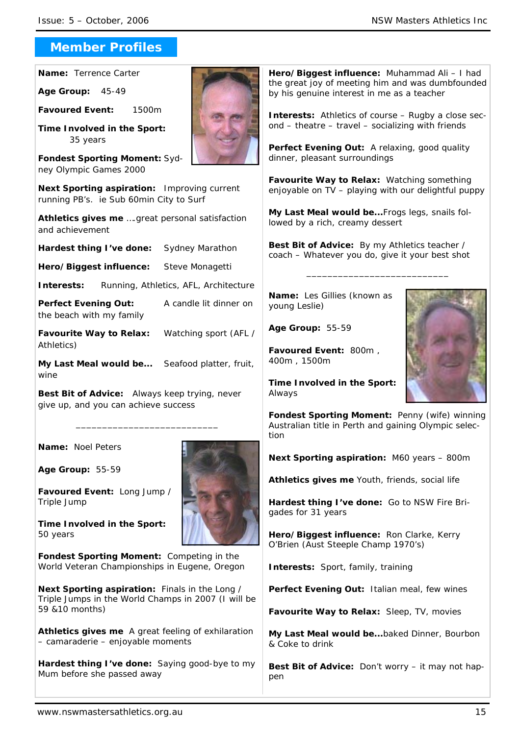# **Member Profiles**

**Name:** Terrence Carter

**Age Group:** 45-49

**Favoured Event:** 1500m

**Time Involved in the Sport:** 35 years

**Fondest Sporting Moment:** Sydney Olympic Games 2000

**Next Sporting aspiration:** Improving current running PB's. ie Sub 60min City to Surf

**Athletics gives me** ….great personal satisfaction and achievement

**Hardest thing I've done:** Sydney Marathon

**Hero/Biggest influence:** Steve Monagetti

**Interests:** Running, Athletics, AFL, Architecture

**Perfect Evening Out:** A candle lit dinner on the beach with my family

**Favourite Way to Relax:** Watching sport (AFL / Athletics)

**My Last Meal would be...** Seafood platter, fruit, wine

\_\_\_\_\_\_\_\_\_\_\_\_\_\_\_\_\_\_\_\_\_\_\_\_\_\_\_

**Best Bit of Advice:** Always keep trying, never give up, and you can achieve success

**Name:** Noel Peters

**Age Group:** 55-59

**Favoured Event:** Long Jump / Triple Jump

**Time Involved in the Sport:**  50 years

**Fondest Sporting Moment:** Competing in the World Veteran Championships in Eugene, Oregon

**Next Sporting aspiration:** Finals in the Long / Triple Jumps in the World Champs in 2007 (I will be 59 &10 months)

**Athletics gives me** A great feeling of exhilaration – camaraderie – enjoyable moments

**Hardest thing I've done:** Saying good-bye to my Mum before she passed away



**Interests:** Athletics of course – Rugby a close second – theatre – travel – socializing with friends

Perfect Evening Out: A relaxing, good quality dinner, pleasant surroundings

**Favourite Way to Relax:** Watching something enjoyable on TV – playing with our delightful puppy

**My Last Meal would be...**Frogs legs, snails followed by a rich, creamy dessert

**Best Bit of Advice:** By my Athletics teacher / coach – Whatever you do, give it your best shot

\_\_\_\_\_\_\_\_\_\_\_\_\_\_\_\_\_\_\_\_\_\_\_\_\_\_\_

**Name:** Les Gillies (known as young Leslie)

**Age Group:** 55-59

**Favoured Event:** 800m , 400m , 1500m

**Time Involved in the Sport:**  Always

**Fondest Sporting Moment:** Penny (wife) winning Australian title in Perth and gaining Olympic selection

**Next Sporting aspiration:** M60 years – 800m

**Athletics gives me** Youth, friends, social life

**Hardest thing I've done:** Go to NSW Fire Brigades for 31 years

**Hero/Biggest influence:** Ron Clarke, Kerry O'Brien (Aust Steeple Champ 1970's)

**Interests:** Sport, family, training

**Perfect Evening Out:** Italian meal, few wines

**Favourite Way to Relax:** Sleep, TV, movies

**My Last Meal would be...**baked Dinner, Bourbon & Coke to drink

**Best Bit of Advice:** Don't worry – it may not happen

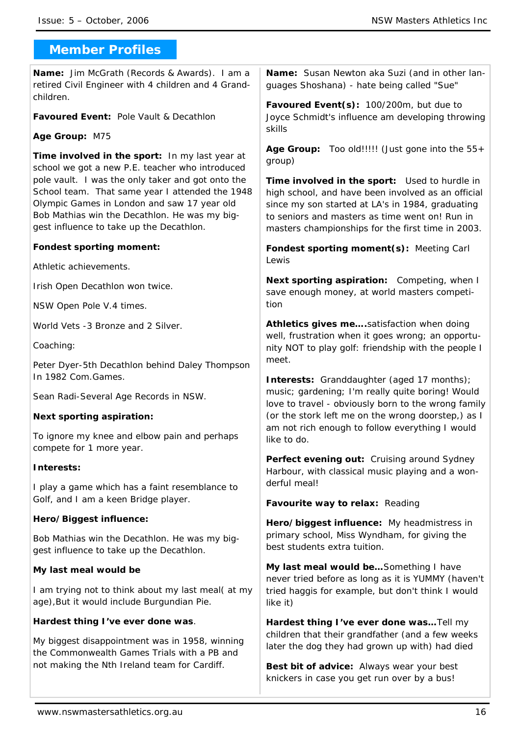# **Member Profiles**

**Name:** Jim McGrath (Records & Awards). I am a retired Civil Engineer with 4 children and 4 Grandchildren.

**Favoured Event:** Pole Vault & Decathlon

# **Age Group:** M75

**Time involved in the sport:** In my last year at school we got a new P.E. teacher who introduced pole vault. I was the only taker and got onto the School team. That same year I attended the 1948 Olympic Games in London and saw 17 year old Bob Mathias win the Decathlon. He was my biggest influence to take up the Decathlon.

# **Fondest sporting moment:**

*Athletic achievements.* 

Irish Open Decathlon won twice.

NSW Open Pole V.4 times.

World Vets -3 Bronze and 2 Silver.

*Coaching:* 

Peter Dyer-5th Decathlon behind Daley Thompson In 1982 Com.Games.

Sean Radi-Several Age Records in NSW.

# **Next sporting aspiration:**

To ignore my knee and elbow pain and perhaps compete for 1 more year.

# **Interests:**

I play a game which has a faint resemblance to Golf, and I am a keen Bridge player.

# **Hero/Biggest influence:**

Bob Mathias win the Decathlon. He was my biggest influence to take up the Decathlon.

# **My last meal would be**

I am trying not to think about my last meal( at my age),But it would include Burgundian Pie.

# **Hardest thing I've ever done was**.

My biggest disappointment was in 1958, winning the Commonwealth Games Trials with a PB and not making the Nth Ireland team for Cardiff.

**Name:** Susan Newton aka Suzi (and in other languages Shoshana) - hate being called "Sue"

**Favoured Event(s):** 100/200m, but due to Joyce Schmidt's influence am developing throwing skills

**Age Group:** Too old!!!!! (Just gone into the 55+ group)

**Time involved in the sport:** Used to hurdle in high school, and have been involved as an official since my son started at LA's in 1984, graduating to seniors and masters as time went on! Run in masters championships for the first time in 2003.

**Fondest sporting moment(s):** Meeting Carl Lewis

**Next sporting aspiration:** Competing, when I save enough money, at world masters competition

**Athletics gives me….**satisfaction when doing well, frustration when it goes wrong; an opportunity NOT to play golf: friendship with the people I meet.

**Interests:** Granddaughter (aged 17 months); music; gardening; I'm really quite boring! Would love to travel - obviously born to the wrong family (or the stork left me on the wrong doorstep,) as I am not rich enough to follow everything I would like to do.

**Perfect evening out:** Cruising around Sydney Harbour, with classical music playing and a wonderful meal!

**Favourite way to relax:** Reading

**Hero/biggest influence:** My headmistress in primary school, Miss Wyndham, for giving the best students extra tuition.

**My last meal would be…**Something I have never tried before as long as it is YUMMY (haven't tried haggis for example, but don't think I would like it)

**Hardest thing I've ever done was…**Tell my children that their grandfather (and a few weeks later the dog they had grown up with) had died

**Best bit of advice:** Always wear your best knickers in case you get run over by a bus!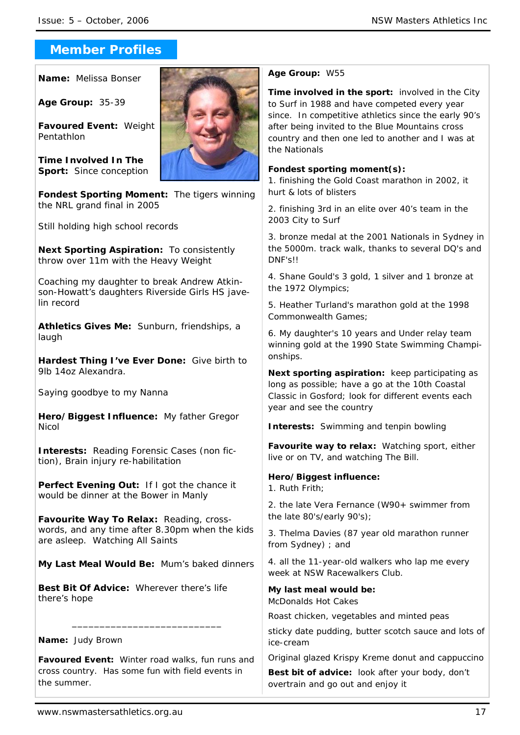# **Member Profiles**

**Name:** Melissa Bonser

**Age Group:** 35-39

**Favoured Event:** Weight Pentathlon

**Time Involved In The Sport:** Since conception



**Fondest Sporting Moment:** The tigers winning the NRL grand final in 2005

Still holding high school records

**Next Sporting Aspiration:** To consistently throw over 11m with the Heavy Weight

Coaching my daughter to break Andrew Atkinson-Howatt's daughters Riverside Girls HS javelin record

**Athletics Gives Me:** Sunburn, friendships, a laugh

**Hardest Thing I've Ever Done:** Give birth to 9lb 14oz Alexandra.

Saying goodbye to my Nanna

**Hero/Biggest Influence:** My father Gregor Nicol

**Interests:** Reading Forensic Cases (non fiction), Brain injury re-habilitation

**Perfect Evening Out:** If I got the chance it would be dinner at the Bower in Manly

**Favourite Way To Relax:** Reading, crosswords, and any time after 8.30pm when the kids are asleep. Watching All Saints

**My Last Meal Would Be:** Mum's baked dinners

**Best Bit Of Advice:** Wherever there's life there's hope

# **Name:** Judy Brown

**Favoured Event:** Winter road walks, fun runs and cross country. Has some fun with field events in the summer.

\_\_\_\_\_\_\_\_\_\_\_\_\_\_\_\_\_\_\_\_\_\_\_\_\_\_\_

### **Age Group:** W55

**Time involved in the sport:** involved in the City to Surf in 1988 and have competed every year since. In competitive athletics since the early 90's after being invited to the Blue Mountains cross country and then one led to another and I was at the Nationals

### **Fondest sporting moment(s):**

1. finishing the Gold Coast marathon in 2002, it hurt & lots of blisters

2. finishing 3rd in an elite over 40's team in the 2003 City to Surf

3. bronze medal at the 2001 Nationals in Sydney in the 5000m. track walk, thanks to several DQ's and DNF's!!

4. Shane Gould's 3 gold, 1 silver and 1 bronze at the 1972 Olympics;

5. Heather Turland's marathon gold at the 1998 Commonwealth Games;

6. My daughter's 10 years and Under relay team winning gold at the 1990 State Swimming Championships.

**Next sporting aspiration:** keep participating as long as possible; have a go at the 10th Coastal Classic in Gosford; look for different events each year and see the country

**Interests:** Swimming and tenpin bowling

**Favourite way to relax:** Watching sport, either live or on TV, and watching The Bill.

# **Hero/Biggest influence:**

1. Ruth Frith;

2. the late Vera Fernance (W90+ swimmer from the late 80's/early 90's);

3. Thelma Davies (87 year old marathon runner from Sydney) ; and

4. all the 11-year-old walkers who lap me every week at NSW Racewalkers Club.

**My last meal would be:** McDonalds Hot Cakes

Roast chicken, vegetables and minted peas

sticky date pudding, butter scotch sauce and lots of ice-cream

Original glazed Krispy Kreme donut and cappuccino

**Best bit of advice:** look after your body, don't overtrain and go out and enjoy it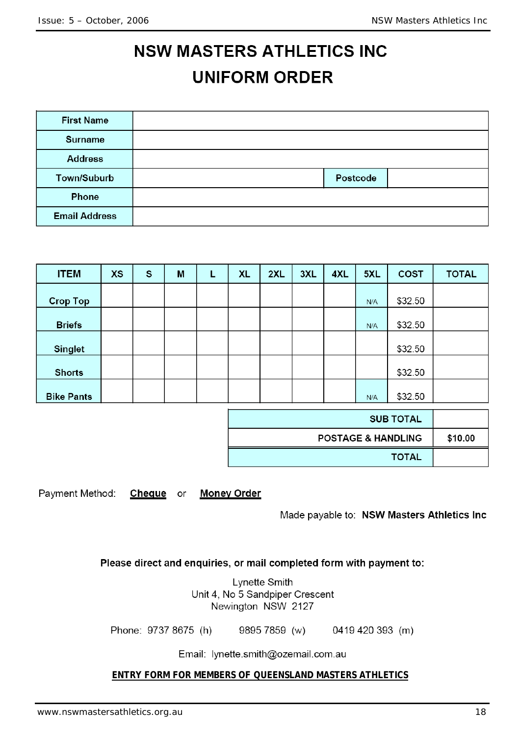# **NSW MASTERS ATHLETICS INC UNIFORM ORDER**

| <b>First Name</b>    |          |  |
|----------------------|----------|--|
| <b>Surname</b>       |          |  |
| <b>Address</b>       |          |  |
| Town/Suburb          | Postcode |  |
| Phone                |          |  |
| <b>Email Address</b> |          |  |

| <b>ITEM</b>       | <b>XS</b> | $\mathbf{s}$ | M | L | <b>XL</b> | 2XL | 3XL | 4XL | 5XL | <b>COST</b> | <b>TOTAL</b> |
|-------------------|-----------|--------------|---|---|-----------|-----|-----|-----|-----|-------------|--------------|
| <b>Crop Top</b>   |           |              |   |   |           |     |     |     | N/A | \$32.50     |              |
| <b>Briefs</b>     |           |              |   |   |           |     |     |     | N/A | \$32.50     |              |
| <b>Singlet</b>    |           |              |   |   |           |     |     |     |     | \$32.50     |              |
| <b>Shorts</b>     |           |              |   |   |           |     |     |     |     | \$32.50     |              |
| <b>Bike Pants</b> |           |              |   |   |           |     |     |     | N/A | \$32.50     |              |

| <b>SUB TOTAL</b>              |         |
|-------------------------------|---------|
| <b>POSTAGE &amp; HANDLING</b> | \$10.00 |
| <b>TOTAL</b>                  |         |

Payment Method: Cheque or **Money Order** 

Made payable to: NSW Masters Athletics Inc

Please direct and enquiries, or mail completed form with payment to:

Lynette Smith Unit 4, No 5 Sandpiper Crescent Newington NSW 2127

Phone: 9737 8675 (h) 9895 7859 (w) 0419 420 393 (m)

Email: lynette.smith@ozemail.com.au

**ENTRY FORM FOR MEMBERS OF QUEENSLAND MASTERS ATHLETICS**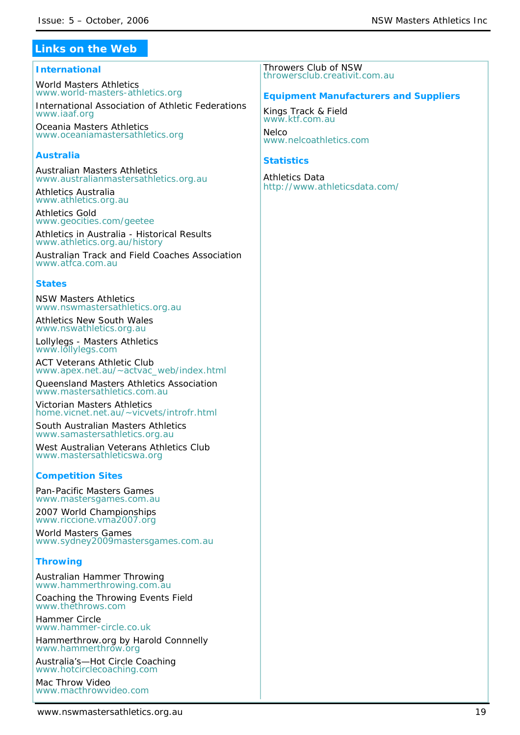# **Links on the Web**

### **International**

World Masters Athletics *www.world-masters-athletics.org*

International Association of Athletic Federations *www.iaaf.org*

Oceania Masters Athletics *www.oceaniamastersathletics.org*

# **Australia**

Australian Masters Athletics *www.australianmastersathletics.org.au*

Athletics Australia *www.athletics.org.au*

Athletics Gold *www.geocities.com/geetee*

Athletics in Australia - Historical Results *www.athletics.org.au/history* 

Australian Track and Field Coaches Association *www.atfca.com.au*

### **States**

NSW Masters Athletics *www.nswmastersathletics.org.au*

Athletics New South Wales *www.nswathletics.org.au*

Lollylegs - Masters Athletics *www.lollylegs.com*

ACT Veterans Athletic Club *www.apex.net.au/~actvac\_web/index.html*

Queensland Masters Athletics Association *www.mastersathletics.com.au* 

Victorian Masters Athletics *home.vicnet.net.au/~vicvets/introfr.html*

South Australian Masters Athletics *www.samastersathletics.org.au*

West Australian Veterans Athletics Club *www.mastersathleticswa.org*

# **Competition Sites**

Pan-Pacific Masters Games *www.mastersgames.com.au*

2007 World Championships *www.riccione.vma2007.org*

World Masters Games *www.sydney2009mastersgames.com.au*

# **Throwing**

Australian Hammer Throwing *www.hammerthrowing.com.au*

Coaching the Throwing Events Field *www.thethrows.com*

Hammer Circle www.hammer-circle.co.uk

Hammerthrow.org by Harold Connnelly *www.hammerthrow.org*

Australia's—Hot Circle Coaching *www.hotcirclecoaching.com*

Mac Throw Video *www.macthrowvideo.com* Throwers Club of NSW *throwersclub.creativit.com.au*

### **Equipment Manufacturers and Suppliers**

Kings Track & Field *www.ktf.com.au*

**Nelco** *www.nelcoathletics.com*

### **Statistics**

Athletics Data *http://www.athleticsdata.com/*